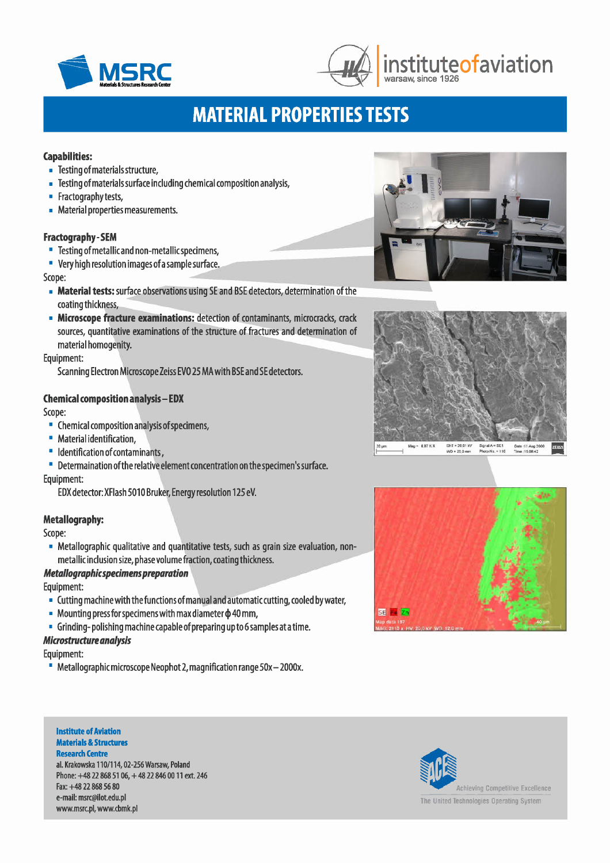



# **MATERIAL PROPERTI ES TESTS**

### Capabilities:

- Testing of materials structure,
- Testing of materials surface including chemical composition analysis,
- **•** Fractography tests,
- Material properties measurements.

### Fractography - SEM

- Testing of metallic and non-metallicspecimens,
- Veryhigh resolution images ofa sample surface.

Scope:

- Material tests: surface observations using SE and BSE detectors, determination of the coating thickness,
- Microscope fracture examinations: detection of contaminants, microcracks, crack sources, quantitative examinations of the structure of fractures and determination of material homogenity.

Equipment:

Scanning Electron Microscope Zeiss EVO 25 MA with BSE and SE detectors.

## Chemical composition analysis - EDX

Scope:

- Chemical composition analysis ofspecimens,
- Material identification,
- **Identification of contaminants,**

• Determaination ofthe relative element concentration on the specimen'ssurface.

Equipment:

EDX detector: XFlash 5010 Bruker, Energy resolution 125 eV.

# Metallography:

Scope:

• Metallographic qualitative and quantitative tests, such as grain size evaluation, nonmetallic inclusion size, phase volume fraction, coating thickness.

# *Metal/ographicspecimenspreparation*

Equipment:

- Cutting machine with the functions of manual and automatic cutting, cooled bywater,
- Mounting press for specimens with max diameter  $\phi$  40 mm,
- Grinding- polishing machine capable of preparing up to 6samples ata time.

### *Microstrudureanalysis*

Equipment:

• Metallographic microscope Neophot 2, magnification range SOx- 2000x.